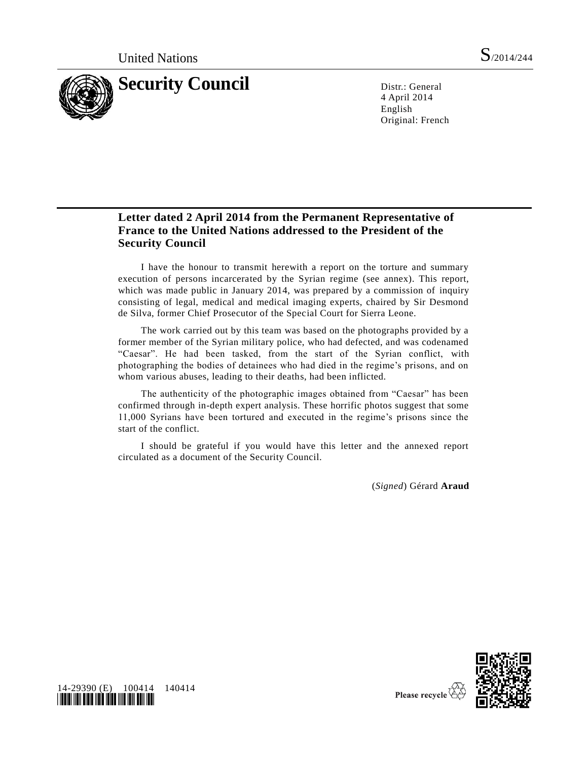

4 April 2014 English Original: French

## **Letter dated 2 April 2014 from the Permanent Representative of France to the United Nations addressed to the President of the Security Council**

I have the honour to transmit herewith a report on the torture and summary execution of persons incarcerated by the Syrian regime (see annex). This report, which was made public in January 2014, was prepared by a commission of inquiry consisting of legal, medical and medical imaging experts, chaired by Sir Desmond de Silva, former Chief Prosecutor of the Special Court for Sierra Leone.

The work carried out by this team was based on the photographs provided by a former member of the Syrian military police, who had defected, and was codenamed "Caesar". He had been tasked, from the start of the Syrian conflict, with photographing the bodies of detainees who had died in the regime's prisons, and on whom various abuses, leading to their deaths, had been inflicted.

The authenticity of the photographic images obtained from "Caesar" has been confirmed through in-depth expert analysis. These horrific photos suggest that some 11,000 Syrians have been tortured and executed in the regime's prisons since the start of the conflict.

I should be grateful if you would have this letter and the annexed report circulated as a document of the Security Council.

(*Signed*) Gérard **Araud**



14-29390 (E) 100414 140414 *\*1429390\**

Please recycle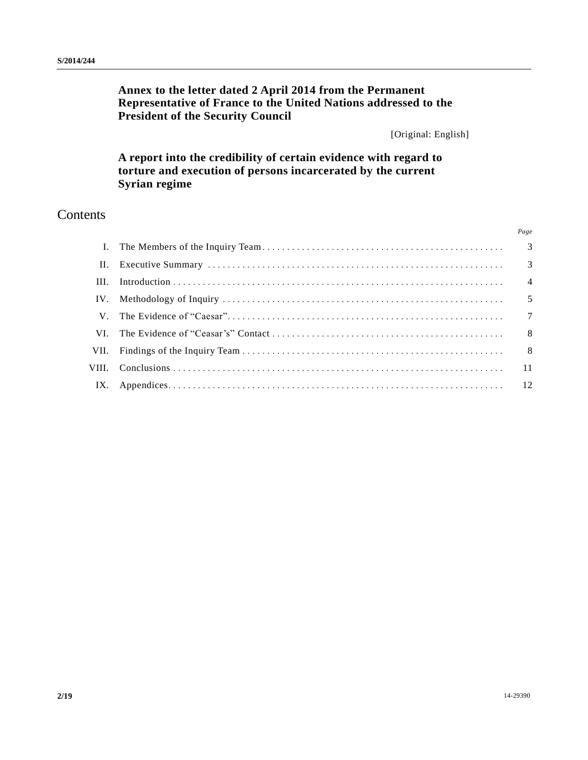# **Annex to the letter dated 2 April 2014 from the Permanent Representative of France to the United Nations addressed to the President of the Security Council**

[Original: English]

**A report into the credibility of certain evidence with regard to torture and execution of persons incarcerated by the current Syrian regime**

# Contents

*Page*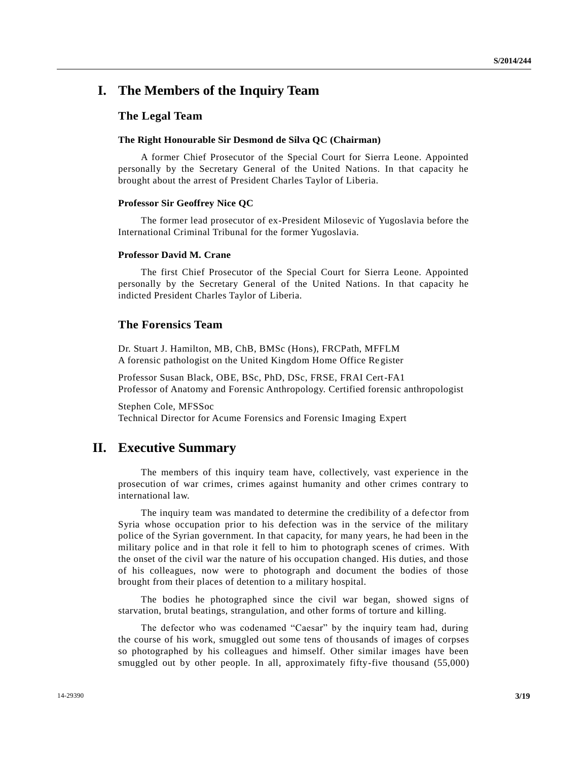## **I. The Members of the Inquiry Team**

### **The Legal Team**

## **The Right Honourable Sir Desmond de Silva QC (Chairman)**

A former Chief Prosecutor of the Special Court for Sierra Leone. Appointed personally by the Secretary General of the United Nations. In that capacity he brought about the arrest of President Charles Taylor of Liberia.

#### **Professor Sir Geoffrey Nice QC**

The former lead prosecutor of ex-President Milosevic of Yugoslavia before the International Criminal Tribunal for the former Yugoslavia.

#### **Professor David M. Crane**

The first Chief Prosecutor of the Special Court for Sierra Leone. Appointed personally by the Secretary General of the United Nations. In that capacity he indicted President Charles Taylor of Liberia.

## **The Forensics Team**

Dr. Stuart J. Hamilton, MB, ChB, BMSc (Hons), FRCPath, MFFLM A forensic pathologist on the United Kingdom Home Office Register

Professor Susan Black, OBE, BSc, PhD, DSc, FRSE, FRAI Cert-FA1 Professor of Anatomy and Forensic Anthropology. Certified forensic anthropologist

Stephen Cole, MFSSoc Technical Director for Acume Forensics and Forensic Imaging Expert

## **II. Executive Summary**

The members of this inquiry team have, collectively, vast experience in the prosecution of war crimes, crimes against humanity and other crimes contrary to international law.

The inquiry team was mandated to determine the credibility of a defe ctor from Syria whose occupation prior to his defection was in the service of the military police of the Syrian government. In that capacity, for many years, he had been in the military police and in that role it fell to him to photograph scenes of crimes. With the onset of the civil war the nature of his occupation changed. His duties, and those of his colleagues, now were to photograph and document the bodies of those brought from their places of detention to a military hospital.

The bodies he photographed since the civil war began, showed signs of starvation, brutal beatings, strangulation, and other forms of torture and killing.

The defector who was codenamed "Caesar" by the inquiry team had, during the course of his work, smuggled out some tens of thousands of images of corpses so photographed by his colleagues and himself. Other similar images have been smuggled out by other people. In all, approximately fifty-five thousand (55,000)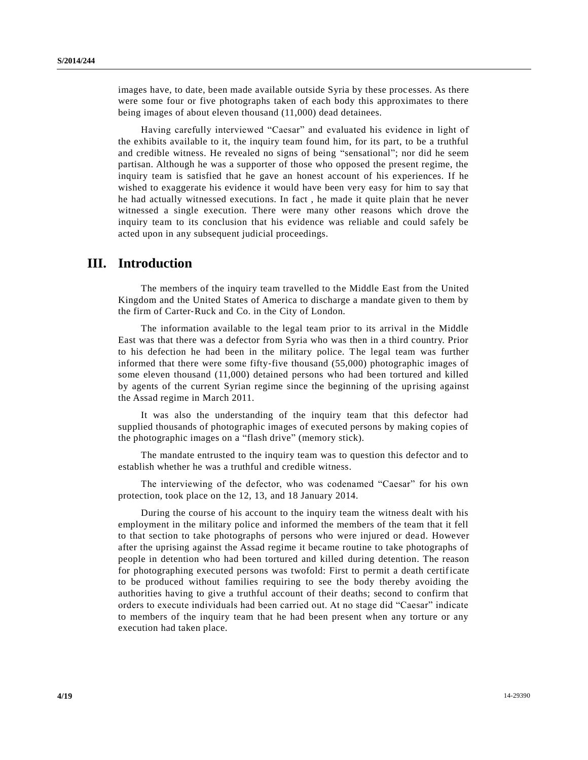images have, to date, been made available outside Syria by these processes. As there were some four or five photographs taken of each body this approximates to there being images of about eleven thousand (11,000) dead detainees.

Having carefully interviewed "Caesar" and evaluated his evidence in light of the exhibits available to it, the inquiry team found him, for its part, to be a truthful and credible witness. He revealed no signs of being "sensational"; nor did he seem partisan. Although he was a supporter of those who opposed the present regime, the inquiry team is satisfied that he gave an honest account of his experiences. If he wished to exaggerate his evidence it would have been very easy for him to say that he had actually witnessed executions. In fact , he made it quite plain that he never witnessed a single execution. There were many other reasons which drove the inquiry team to its conclusion that his evidence was reliable and could safely be acted upon in any subsequent judicial proceedings.

## **III. Introduction**

The members of the inquiry team travelled to the Middle East from the United Kingdom and the United States of America to discharge a mandate given to them by the firm of Carter‐Ruck and Co. in the City of London.

The information available to the legal team prior to its arrival in the Middle East was that there was a defector from Syria who was then in a third country. Prior to his defection he had been in the military police. The legal team was further informed that there were some fifty‐five thousand (55,000) photographic images of some eleven thousand (11,000) detained persons who had been tortured and killed by agents of the current Syrian regime since the beginning of the uprising against the Assad regime in March 2011.

It was also the understanding of the inquiry team that this defector had supplied thousands of photographic images of executed persons by making copies of the photographic images on a "flash drive" (memory stick).

The mandate entrusted to the inquiry team was to question this defector and to establish whether he was a truthful and credible witness.

The interviewing of the defector, who was codenamed "Caesar" for his own protection, took place on the 12, 13, and 18 January 2014.

During the course of his account to the inquiry team the witness dealt with his employment in the military police and informed the members of the team that it fell to that section to take photographs of persons who were injured or dead. However after the uprising against the Assad regime it became routine to take photographs of people in detention who had been tortured and killed during detention. The reason for photographing executed persons was twofold: First to permit a death certificate to be produced without families requiring to see the body thereby avoiding the authorities having to give a truthful account of their deaths; second to confirm that orders to execute individuals had been carried out. At no stage did "Caesar" indicate to members of the inquiry team that he had been present when any torture or any execution had taken place.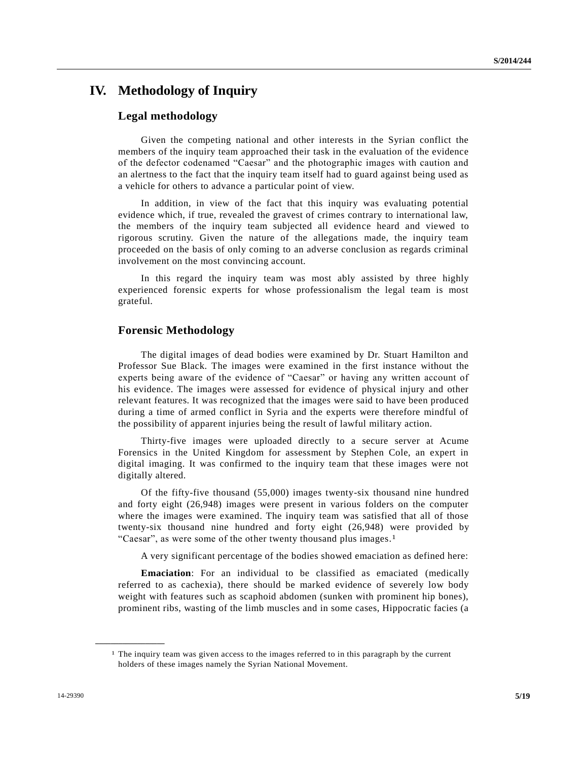# **IV. Methodology of Inquiry**

## **Legal methodology**

Given the competing national and other interests in the Syrian conflict the members of the inquiry team approached their task in the evaluation of the evidence of the defector codenamed "Caesar" and the photographic images with caution and an alertness to the fact that the inquiry team itself had to guard against being used as a vehicle for others to advance a particular point of view.

In addition, in view of the fact that this inquiry was evaluating potential evidence which, if true, revealed the gravest of crimes contrary to international law, the members of the inquiry team subjected all evidence heard and viewed to rigorous scrutiny. Given the nature of the allegations made, the inquiry team proceeded on the basis of only coming to an adverse conclusion as regards criminal involvement on the most convincing account.

In this regard the inquiry team was most ably assisted by three highly experienced forensic experts for whose professionalism the legal team is most grateful.

## **Forensic Methodology**

The digital images of dead bodies were examined by Dr. Stuart Hamilton and Professor Sue Black. The images were examined in the first instance without the experts being aware of the evidence of "Caesar" or having any written account of his evidence. The images were assessed for evidence of physical injury and other relevant features. It was recognized that the images were said to have been produced during a time of armed conflict in Syria and the experts were therefore mindful of the possibility of apparent injuries being the result of lawful military action.

Thirty-five images were uploaded directly to a secure server at Acume Forensics in the United Kingdom for assessment by Stephen Cole, an expert in digital imaging. It was confirmed to the inquiry team that these images were not digitally altered.

Of the fifty-five thousand (55,000) images twenty-six thousand nine hundred and forty eight (26,948) images were present in various folders on the computer where the images were examined. The inquiry team was satisfied that all of those twenty-six thousand nine hundred and forty eight (26,948) were provided by "Caesar", as were some of the other twenty thousand plus images.<sup>1</sup>

A very significant percentage of the bodies showed emaciation as defined here:

**Emaciation**: For an individual to be classified as emaciated (medically referred to as cachexia), there should be marked evidence of severely low body weight with features such as scaphoid abdomen (sunken with prominent hip bones), prominent ribs, wasting of the limb muscles and in some cases, Hippocratic facies (a

<sup>1</sup> The inquiry team was given access to the images referred to in this paragraph by the current holders of these images namely the Syrian National Movement.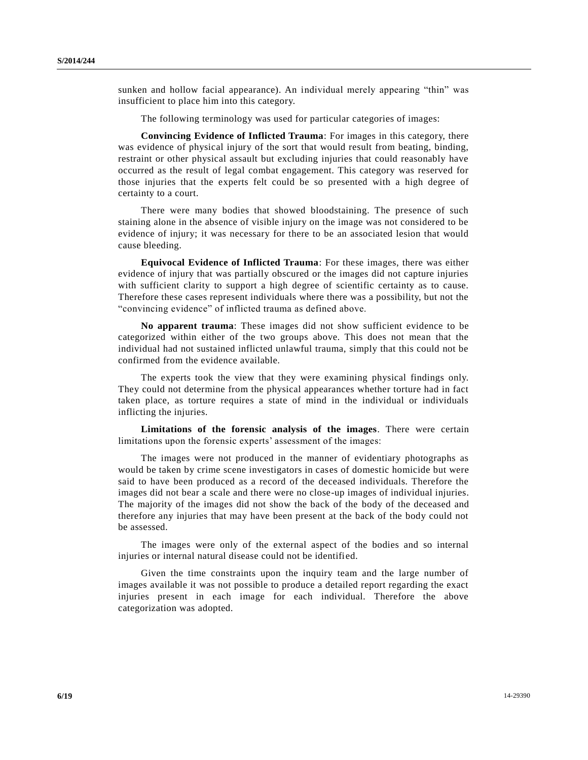sunken and hollow facial appearance). An individual merely appearing "thin" was insufficient to place him into this category.

The following terminology was used for particular categories of images:

**Convincing Evidence of Inflicted Trauma**: For images in this category, there was evidence of physical injury of the sort that would result from beating, binding, restraint or other physical assault but excluding injuries that could reasonably have occurred as the result of legal combat engagement. This category was reserved for those injuries that the experts felt could be so presented with a high degree of certainty to a court.

There were many bodies that showed bloodstaining. The presence of such staining alone in the absence of visible injury on the image was not considered to be evidence of injury; it was necessary for there to be an associated lesion that would cause bleeding.

**Equivocal Evidence of Inflicted Trauma**: For these images, there was either evidence of injury that was partially obscured or the images did not capture injuries with sufficient clarity to support a high degree of scientific certainty as to cause. Therefore these cases represent individuals where there was a possibility, but not the "convincing evidence" of inflicted trauma as defined above.

**No apparent trauma**: These images did not show sufficient evidence to be categorized within either of the two groups above. This does not mean that the individual had not sustained inflicted unlawful trauma, simply that this could not be confirmed from the evidence available.

The experts took the view that they were examining physical findings only. They could not determine from the physical appearances whether torture had in fact taken place, as torture requires a state of mind in the individual or individuals inflicting the injuries.

**Limitations of the forensic analysis of the images**. There were certain limitations upon the forensic experts' assessment of the images:

The images were not produced in the manner of evidentiary photographs as would be taken by crime scene investigators in cases of domestic homicide but were said to have been produced as a record of the deceased individuals. Therefore the images did not bear a scale and there were no close-up images of individual injuries. The majority of the images did not show the back of the body of the deceased and therefore any injuries that may have been present at the back of the body could not be assessed.

The images were only of the external aspect of the bodies and so internal injuries or internal natural disease could not be identified.

Given the time constraints upon the inquiry team and the large number of images available it was not possible to produce a detailed report regarding the exact injuries present in each image for each individual. Therefore the above categorization was adopted.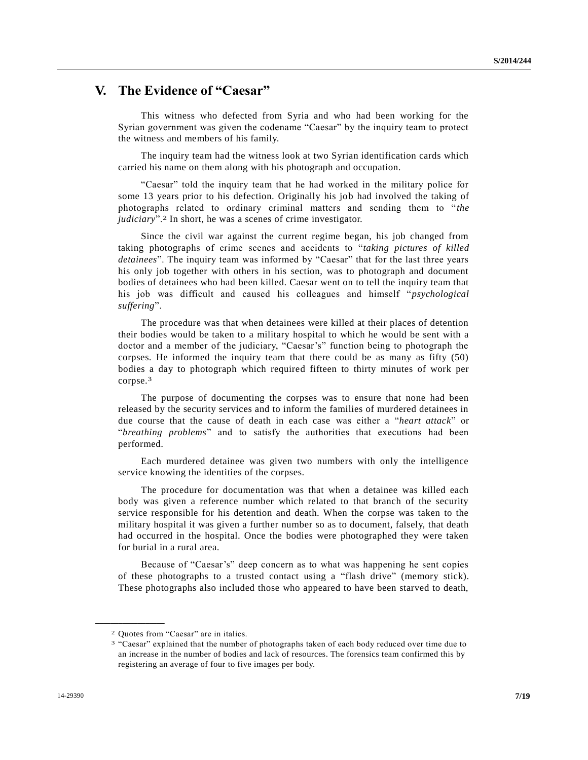# **V. The Evidence of "Caesar"**

This witness who defected from Syria and who had been working for the Syrian government was given the codename "Caesar" by the inquiry team to protect the witness and members of his family.

The inquiry team had the witness look at two Syrian identification cards which carried his name on them along with his photograph and occupation.

"Caesar" told the inquiry team that he had worked in the military police for some 13 years prior to his defection. Originally his job had involved the taking of photographs related to ordinary criminal matters and sending them to "*the judiciary*".2 In short, he was a scenes of crime investigator.

Since the civil war against the current regime began, his job changed from taking photographs of crime scenes and accidents to "*taking pictures of killed detainees*". The inquiry team was informed by "Caesar" that for the last three years his only job together with others in his section, was to photograph and document bodies of detainees who had been killed. Caesar went on to tell the inquiry team that his job was difficult and caused his colleagues and himself "*psychological suffering*".

The procedure was that when detainees were killed at their places of detention their bodies would be taken to a military hospital to which he would be sent with a doctor and a member of the judiciary, "Caesar's" function being to photograph the corpses. He informed the inquiry team that there could be as many as fifty (50) bodies a day to photograph which required fifteen to thirty minutes of work per corpse.3

The purpose of documenting the corpses was to ensure that none had been released by the security services and to inform the families of murdered detainees in due course that the cause of death in each case was either a "*heart attack*" or "*breathing problems*" and to satisfy the authorities that executions had been performed.

Each murdered detainee was given two numbers with only the intelligence service knowing the identities of the corpses.

The procedure for documentation was that when a detainee was killed each body was given a reference number which related to that branch of the security service responsible for his detention and death. When the corpse was taken to the military hospital it was given a further number so as to document, falsely, that death had occurred in the hospital. Once the bodies were photographed they were taken for burial in a rural area.

Because of "Caesar's" deep concern as to what was happening he sent copies of these photographs to a trusted contact using a "flash drive" (memory stick). These photographs also included those who appeared to have been starved to death,

<sup>2</sup> Quotes from "Caesar" are in italics.

<sup>&</sup>lt;sup>3</sup> "Caesar" explained that the number of photographs taken of each body reduced over time due to an increase in the number of bodies and lack of resources. The forensics team confirmed this by registering an average of four to five images per body.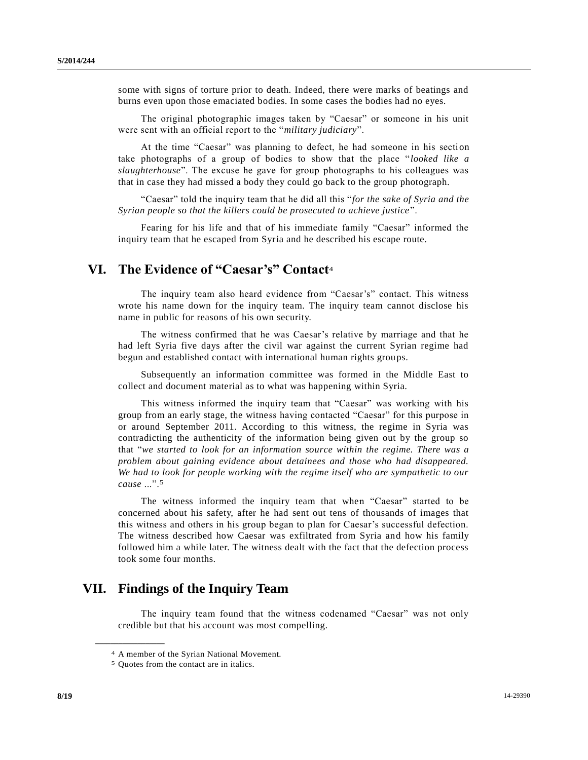some with signs of torture prior to death. Indeed, there were marks of beatings and burns even upon those emaciated bodies. In some cases the bodies had no eyes.

The original photographic images taken by "Caesar" or someone in his unit were sent with an official report to the "*military judiciary*".

At the time "Caesar" was planning to defect, he had someone in his section take photographs of a group of bodies to show that the place "*looked like a slaughterhouse*". The excuse he gave for group photographs to his colleagues was that in case they had missed a body they could go back to the group photograph.

"Caesar" told the inquiry team that he did all this "*for the sake of Syria and the Syrian people so that the killers could be prosecuted to achieve justice* ".

Fearing for his life and that of his immediate family "Caesar" informed the inquiry team that he escaped from Syria and he described his escape route.

# **VI. The Evidence of "Caesar's" Contact**<sup>4</sup>

The inquiry team also heard evidence from "Caesar's" contact. This witness wrote his name down for the inquiry team. The inquiry team cannot disclose his name in public for reasons of his own security.

The witness confirmed that he was Caesar's relative by marriage and that he had left Syria five days after the civil war against the current Syrian regime had begun and established contact with international human rights groups.

Subsequently an information committee was formed in the Middle East to collect and document material as to what was happening within Syria.

This witness informed the inquiry team that "Caesar" was working with his group from an early stage, the witness having contacted "Caesar" for this purpose in or around September 2011. According to this witness, the regime in Syria was contradicting the authenticity of the information being given out by the group so that "*we started to look for an information source within the regime. There was a problem about gaining evidence about detainees and those who had disappeared. We had to look for people working with the regime itself who are sympathetic to our cause* ...".5

The witness informed the inquiry team that when "Caesar" started to be concerned about his safety, after he had sent out tens of thousands of images that this witness and others in his group began to plan for Caesar's successful defection. The witness described how Caesar was exfiltrated from Syria and how his family followed him a while later. The witness dealt with the fact that the defection process took some four months.

## **VII. Findings of the Inquiry Team**

The inquiry team found that the witness codenamed "Caesar" was not only credible but that his account was most compelling.

<sup>4</sup> A member of the Syrian National Movement.

<sup>5</sup> Quotes from the contact are in italics.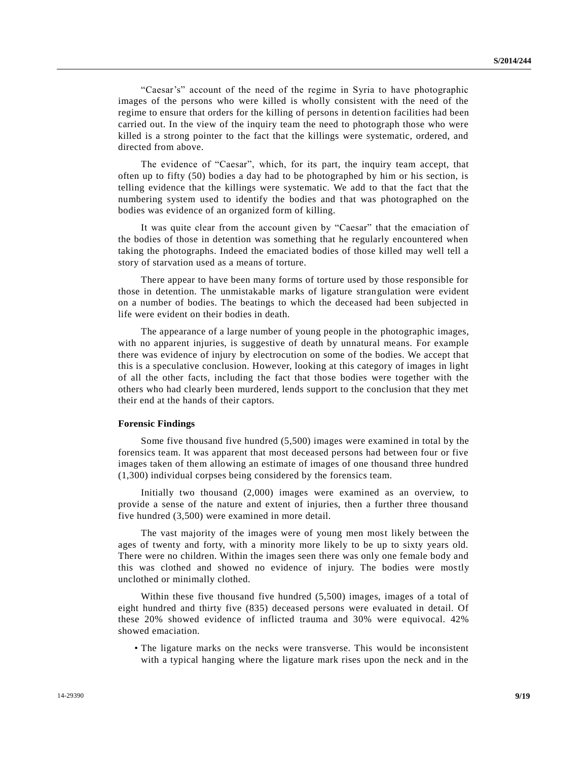"Caesar's" account of the need of the regime in Syria to have photographic images of the persons who were killed is wholly consistent with the need of the regime to ensure that orders for the killing of persons in detention facilities had been carried out. In the view of the inquiry team the need to photograph those who were killed is a strong pointer to the fact that the killings were systematic, ordered, and directed from above.

The evidence of "Caesar", which, for its part, the inquiry team accept, that often up to fifty (50) bodies a day had to be photographed by him or his section, is telling evidence that the killings were systematic. We add to that the fact that the numbering system used to identify the bodies and that was photographed on the bodies was evidence of an organized form of killing.

It was quite clear from the account given by "Caesar" that the emaciation of the bodies of those in detention was something that he regularly encountered when taking the photographs. Indeed the emaciated bodies of those killed may well tell a story of starvation used as a means of torture.

There appear to have been many forms of torture used by those responsible for those in detention. The unmistakable marks of ligature strangulation were evident on a number of bodies. The beatings to which the deceased had been subjected in life were evident on their bodies in death.

The appearance of a large number of young people in the photographic images, with no apparent injuries, is suggestive of death by unnatural means. For example there was evidence of injury by electrocution on some of the bodies. We accept that this is a speculative conclusion. However, looking at this category of images in light of all the other facts, including the fact that those bodies were together with the others who had clearly been murdered, lends support to the conclusion that they met their end at the hands of their captors.

#### **Forensic Findings**

Some five thousand five hundred (5,500) images were examined in total by the forensics team. It was apparent that most deceased persons had between four or five images taken of them allowing an estimate of images of one thousand three hundred (1,300) individual corpses being considered by the forensics team.

Initially two thousand (2,000) images were examined as an overview, to provide a sense of the nature and extent of injuries, then a further three thousand five hundred (3,500) were examined in more detail.

The vast majority of the images were of young men most likely between the ages of twenty and forty, with a minority more likely to be up to sixty years old. There were no children. Within the images seen there was only one female body and this was clothed and showed no evidence of injury. The bodies were mostly unclothed or minimally clothed.

Within these five thousand five hundred (5,500) images, images of a total of eight hundred and thirty five (835) deceased persons were evaluated in detail. Of these 20% showed evidence of inflicted trauma and 30% were equivocal. 42% showed emaciation.

• The ligature marks on the necks were transverse. This would be inconsistent with a typical hanging where the ligature mark rises upon the neck and in the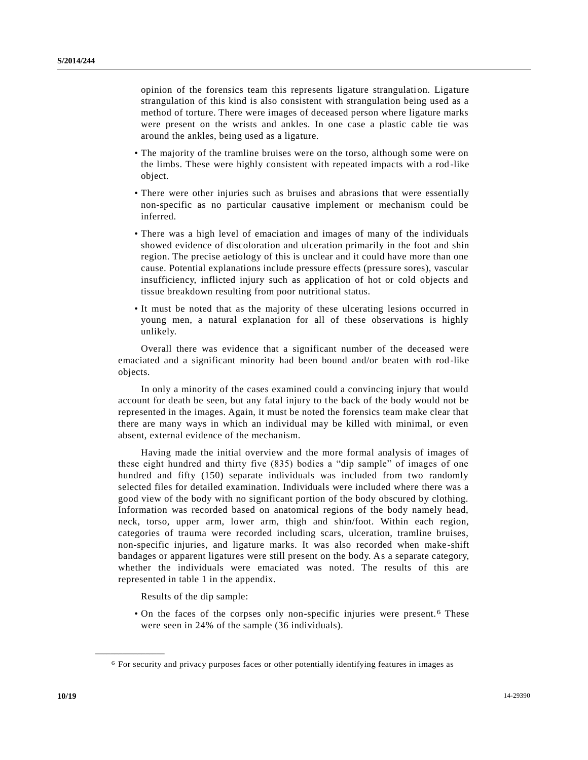opinion of the forensics team this represents ligature strangulation. Ligature strangulation of this kind is also consistent with strangulation being used as a method of torture. There were images of deceased person where ligature marks were present on the wrists and ankles. In one case a plastic cable tie was around the ankles, being used as a ligature.

- The majority of the tramline bruises were on the torso, although some were on the limbs. These were highly consistent with repeated impacts with a rod -like object.
- There were other injuries such as bruises and abrasions that were essentially non-specific as no particular causative implement or mechanism could be inferred.
- There was a high level of emaciation and images of many of the individuals showed evidence of discoloration and ulceration primarily in the foot and shin region. The precise aetiology of this is unclear and it could have more than one cause. Potential explanations include pressure effects (pressure sores), vascular insufficiency, inflicted injury such as application of hot or cold objects and tissue breakdown resulting from poor nutritional status.
- It must be noted that as the majority of these ulcerating lesions occurred in young men, a natural explanation for all of these observations is highly unlikely.

Overall there was evidence that a significant number of the deceased were emaciated and a significant minority had been bound and/or beaten with rod -like objects.

In only a minority of the cases examined could a convincing injury that would account for death be seen, but any fatal injury to the back of the body would not be represented in the images. Again, it must be noted the forensics team make clear that there are many ways in which an individual may be killed with minimal, or even absent, external evidence of the mechanism.

Having made the initial overview and the more formal analysis of images of these eight hundred and thirty five (835) bodies a "dip sample" of images of one hundred and fifty (150) separate individuals was included from two randomly selected files for detailed examination. Individuals were included where there was a good view of the body with no significant portion of the body obscured by clothing. Information was recorded based on anatomical regions of the body namely head, neck, torso, upper arm, lower arm, thigh and shin/foot. Within each region, categories of trauma were recorded including scars, ulceration, tramline bruises, non-specific injuries, and ligature marks. It was also recorded when make -shift bandages or apparent ligatures were still present on the body. As a separate category, whether the individuals were emaciated was noted. The results of this are represented in table 1 in the appendix.

Results of the dip sample:

• On the faces of the corpses only non-specific injuries were present.<sup>6</sup> These were seen in 24% of the sample (36 individuals).

<sup>6</sup> For security and privacy purposes faces or other potentially identifying features in images as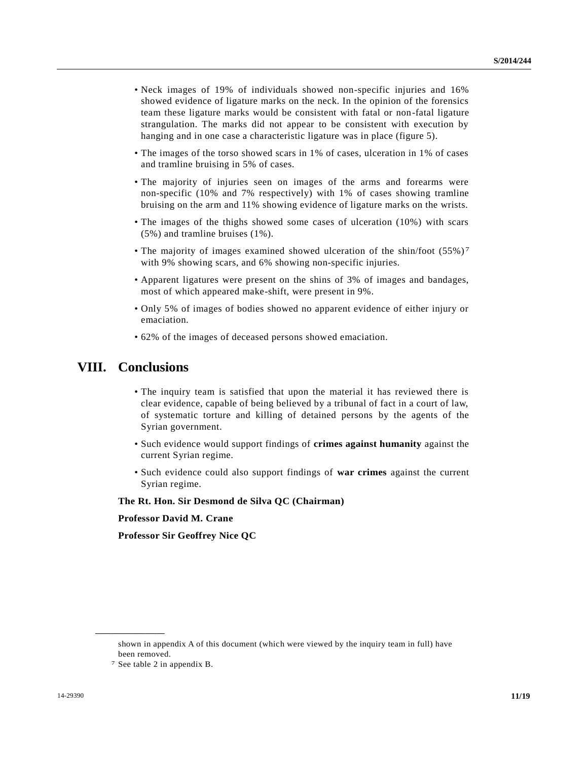- Neck images of 19% of individuals showed non-specific injuries and 16% showed evidence of ligature marks on the neck. In the opinion of the forensics team these ligature marks would be consistent with fatal or non-fatal ligature strangulation. The marks did not appear to be consistent with execution by hanging and in one case a characteristic ligature was in place (figure 5).
- The images of the torso showed scars in 1% of cases, ulceration in 1% of cases and tramline bruising in 5% of cases.
- The majority of injuries seen on images of the arms and forearms were non-specific (10% and 7% respectively) with 1% of cases showing tramline bruising on the arm and 11% showing evidence of ligature marks on the wrists.
- The images of the thighs showed some cases of ulceration (10%) with scars (5%) and tramline bruises (1%).
- The majority of images examined showed ulceration of the shin/foot (55%) 7 with 9% showing scars, and 6% showing non-specific injuries.
- Apparent ligatures were present on the shins of 3% of images and bandages, most of which appeared make-shift, were present in 9%.
- Only 5% of images of bodies showed no apparent evidence of either injury or emaciation.
- 62% of the images of deceased persons showed emaciation.

## **VIII. Conclusions**

- The inquiry team is satisfied that upon the material it has reviewed there is clear evidence, capable of being believed by a tribunal of fact in a court of law, of systematic torture and killing of detained persons by the agents of the Syrian government.
- Such evidence would support findings of **crimes against humanity** against the current Syrian regime.
- Such evidence could also support findings of **war crimes** against the current Syrian regime.

### **The Rt. Hon. Sir Desmond de Silva QC (Chairman)**

#### **Professor David M. Crane**

**Professor Sir Geoffrey Nice QC**

shown in appendix A of this document (which were viewed by the inquiry team in full) have been removed.

<sup>7</sup> See table 2 in appendix B.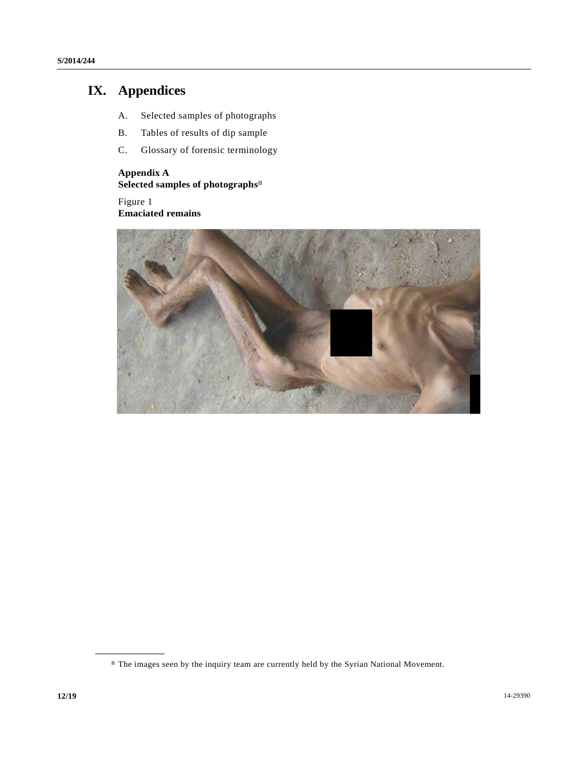# **IX. Appendices**

- A. Selected samples of photographs
- B. Tables of results of dip sample
- C. Glossary of forensic terminology

## **Appendix A Selected samples of photographs** 8

Figure 1 **Emaciated remains**



<sup>8</sup> The images seen by the inquiry team are currently held by the Syrian National Movement.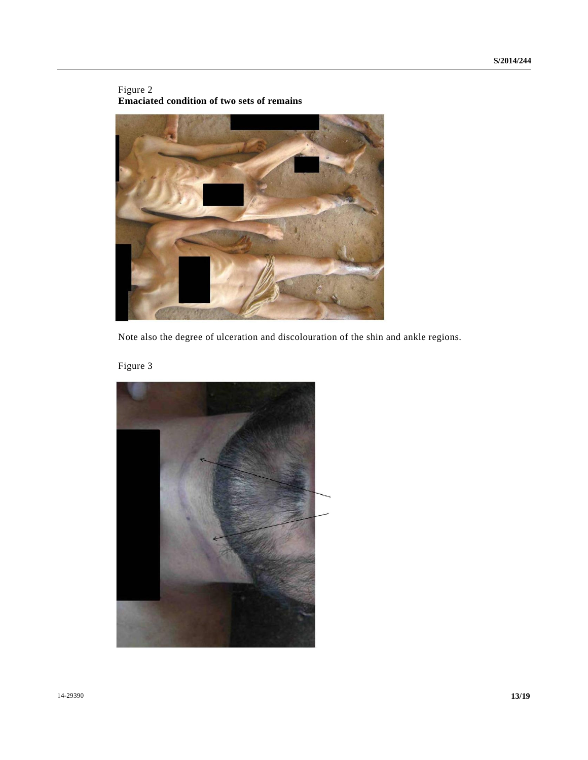### Figure 2 **Emaciated condition of two sets of remains**



Note also the degree of ulceration and discolouration of the shin and ankle regions.

Figure 3

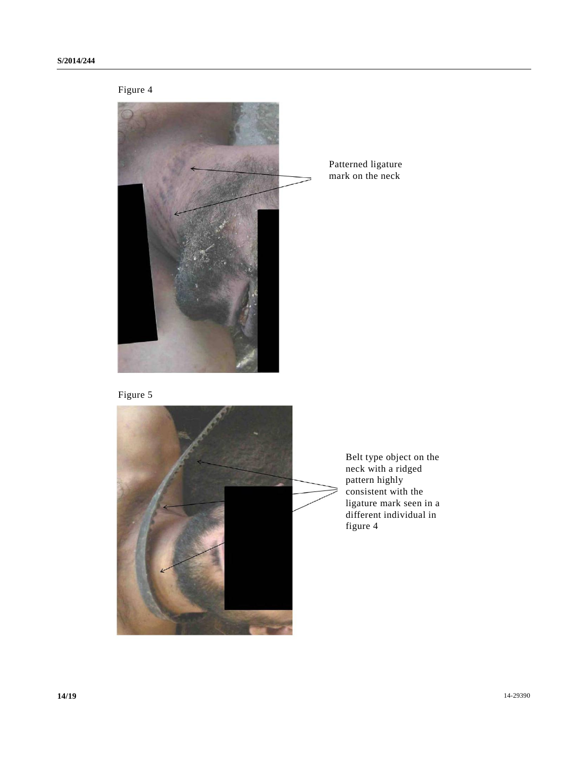

Patterned ligature mark on the neck





Belt type object on the neck with a ridged pattern highly consistent with the ligature mark seen in a different individual in figure 4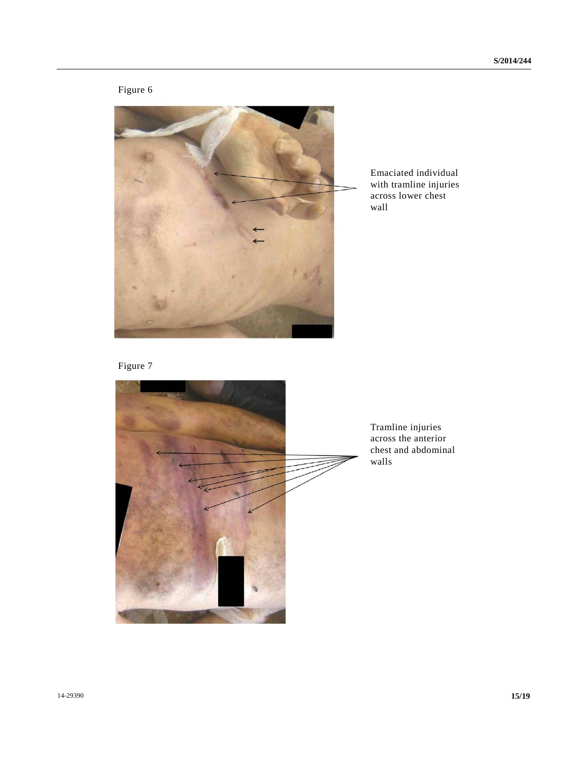# Figure 6



Emaciated individual with tramline injuries across lower chest wall

Figure 7



Tramline injuries across the anterior chest and abdominal walls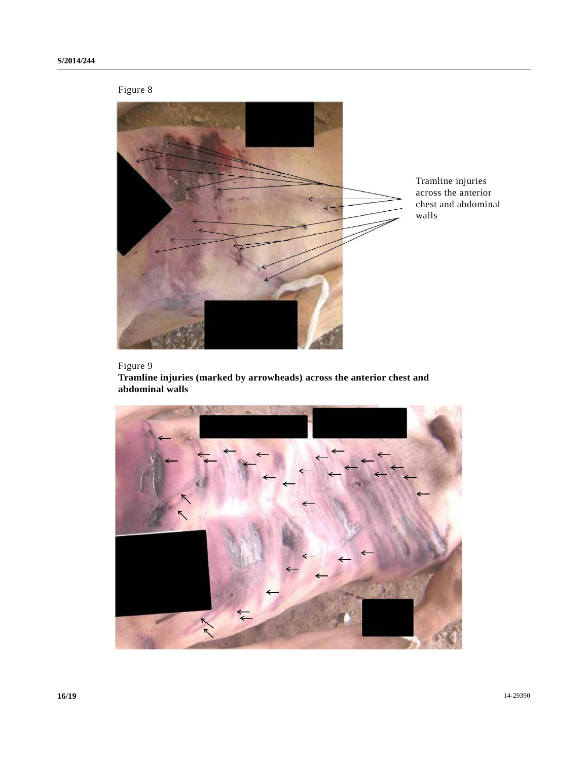# Figure 8



Tramline injuries across the anterior chest and abdominal walls

# Figure 9

**Tramline injuries (marked by arrowheads) across the anterior chest and abdominal walls**

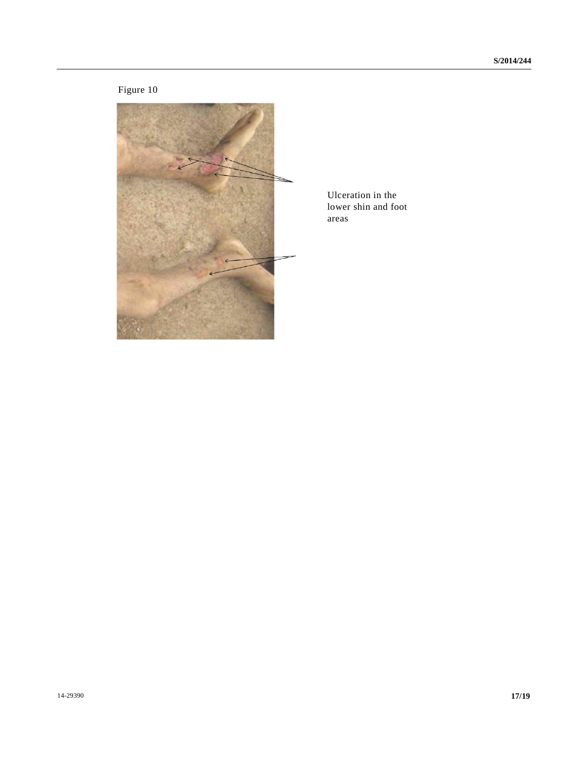# Figure 10



Ulceration in the lower shin and foot areas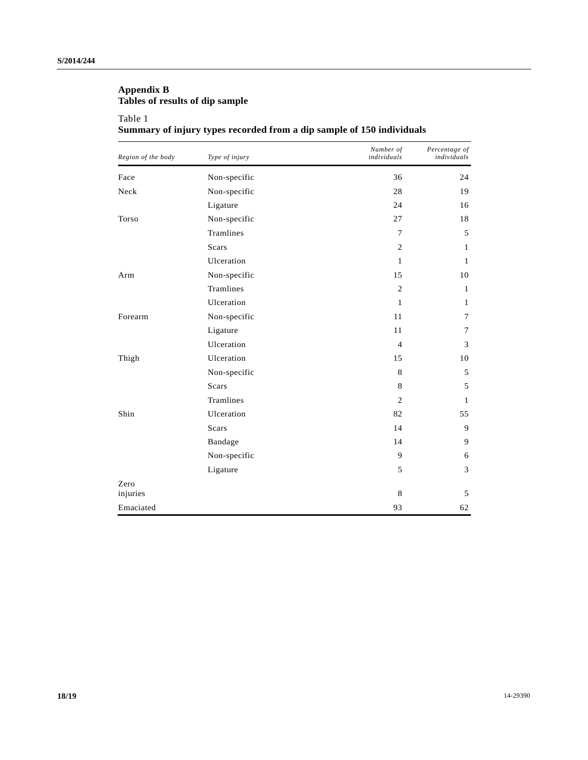# **Appendix B Tables of results of dip sample**

## Table 1

# **Summary of injury types recorded from a dip sample of 150 individuals**

| Region of the body | Type of injury | Number of<br>individuals | Percentage of<br>individuals |
|--------------------|----------------|--------------------------|------------------------------|
| Face               | Non-specific   | 36                       | 24                           |
| Neck               | Non-specific   | 28                       | 19                           |
|                    | Ligature       | 24                       | 16                           |
| Torso              | Non-specific   | 27                       | 18                           |
|                    | Tramlines      | $\tau$                   | 5                            |
|                    | <b>Scars</b>   | 2                        | $\mathbf{1}$                 |
|                    | Ulceration     | $\mathbf{1}$             | 1                            |
| Arm                | Non-specific   | 15                       | 10                           |
|                    | Tramlines      | $\overline{2}$           | 1                            |
|                    | Ulceration     | $\mathbf{1}$             | $\mathbf{1}$                 |
| Forearm            | Non-specific   | 11                       | 7                            |
|                    | Ligature       | 11                       | 7                            |
|                    | Ulceration     | $\overline{4}$           | 3                            |
| Thigh              | Ulceration     | 15                       | 10                           |
|                    | Non-specific   | 8                        | 5                            |
|                    | <b>Scars</b>   | 8                        | 5                            |
|                    | Tramlines      | 2                        | 1                            |
| Shin               | Ulceration     | 82                       | 55                           |
|                    | <b>Scars</b>   | 14                       | 9                            |
|                    | Bandage        | 14                       | 9                            |
|                    | Non-specific   | 9                        | 6                            |
|                    | Ligature       | 5                        | 3                            |
| Zero<br>injuries   |                | 8                        | 5                            |
| Emaciated          |                | 93                       | 62                           |